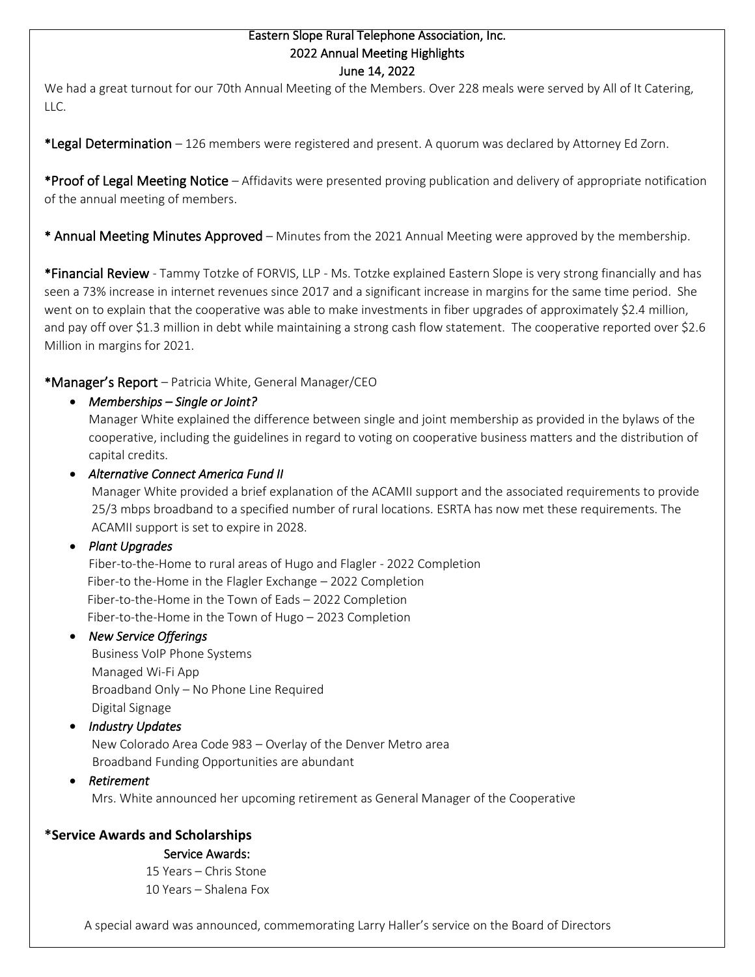#### Eastern Slope Rural Telephone Association, Inc. 2022 Annual Meeting Highlights June 14, 2022

We had a great turnout for our 70th Annual Meeting of the Members. Over 228 meals were served by All of It Catering, LLC.

\*Legal Determination – 126 members were registered and present. A quorum was declared by Attorney Ed Zorn.

\*Proof of Legal Meeting Notice – Affidavits were presented proving publication and delivery of appropriate notification of the annual meeting of members.

\* Annual Meeting Minutes Approved – Minutes from the 2021 Annual Meeting were approved by the membership.

\*Financial Review - Tammy Totzke of FORVIS, LLP - Ms. Totzke explained Eastern Slope is very strong financially and has seen a 73% increase in internet revenues since 2017 and a significant increase in margins for the same time period. She went on to explain that the cooperative was able to make investments in fiber upgrades of approximately \$2.4 million, and pay off over \$1.3 million in debt while maintaining a strong cash flow statement. The cooperative reported over \$2.6 Million in margins for 2021.

## \*Manager's Report – Patricia White, General Manager/CEO

• *Memberships – Single or Joint?* 

Manager White explained the difference between single and joint membership as provided in the bylaws of the cooperative, including the guidelines in regard to voting on cooperative business matters and the distribution of capital credits.

## • *Alternative Connect America Fund II*

Manager White provided a brief explanation of the ACAMII support and the associated requirements to provide 25/3 mbps broadband to a specified number of rural locations. ESRTA has now met these requirements. The ACAMII support is set to expire in 2028.

#### • *Plant Upgrades*

Fiber-to-the-Home to rural areas of Hugo and Flagler - 2022 Completion Fiber-to the-Home in the Flagler Exchange – 2022 Completion Fiber-to-the-Home in the Town of Eads – 2022 Completion Fiber-to-the-Home in the Town of Hugo – 2023 Completion

## • *New Service Offerings*

Business VoIP Phone Systems Managed Wi-Fi App Broadband Only – No Phone Line Required Digital Signage

## • *Industry Updates*

New Colorado Area Code 983 – Overlay of the Denver Metro area Broadband Funding Opportunities are abundant

#### • *Retirement*

Mrs. White announced her upcoming retirement as General Manager of the Cooperative

# **\*Service Awards and Scholarships**

#### Service Awards:

 15 Years – Chris Stone 10 Years – Shalena Fox

A special award was announced, commemorating Larry Haller's service on the Board of Directors